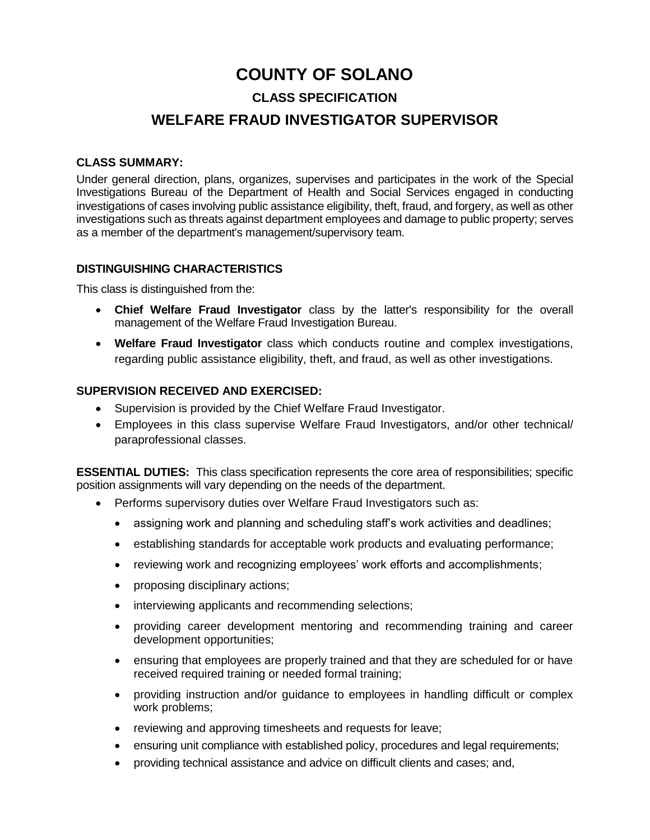# **COUNTY OF SOLANO CLASS SPECIFICATION WELFARE FRAUD INVESTIGATOR SUPERVISOR**

# **CLASS SUMMARY:**

Under general direction, plans, organizes, supervises and participates in the work of the Special Investigations Bureau of the Department of Health and Social Services engaged in conducting investigations of cases involving public assistance eligibility, theft, fraud, and forgery, as well as other investigations such as threats against department employees and damage to public property; serves as a member of the department's management/supervisory team.

# **DISTINGUISHING CHARACTERISTICS**

This class is distinguished from the:

- **Chief Welfare Fraud Investigator** class by the latter's responsibility for the overall management of the Welfare Fraud Investigation Bureau.
- **Welfare Fraud Investigator** class which conducts routine and complex investigations, regarding public assistance eligibility, theft, and fraud, as well as other investigations.

# **SUPERVISION RECEIVED AND EXERCISED:**

- Supervision is provided by the Chief Welfare Fraud Investigator.
- Employees in this class supervise Welfare Fraud Investigators, and/or other technical/ paraprofessional classes.

**ESSENTIAL DUTIES:** This class specification represents the core area of responsibilities; specific position assignments will vary depending on the needs of the department.

- Performs supervisory duties over Welfare Fraud Investigators such as:
	- assigning work and planning and scheduling staff's work activities and deadlines;
	- establishing standards for acceptable work products and evaluating performance;
	- reviewing work and recognizing employees' work efforts and accomplishments;
	- proposing disciplinary actions;
	- interviewing applicants and recommending selections;
	- providing career development mentoring and recommending training and career development opportunities;
	- ensuring that employees are properly trained and that they are scheduled for or have received required training or needed formal training;
	- providing instruction and/or guidance to employees in handling difficult or complex work problems;
	- reviewing and approving timesheets and requests for leave;
	- ensuring unit compliance with established policy, procedures and legal requirements;
	- providing technical assistance and advice on difficult clients and cases; and,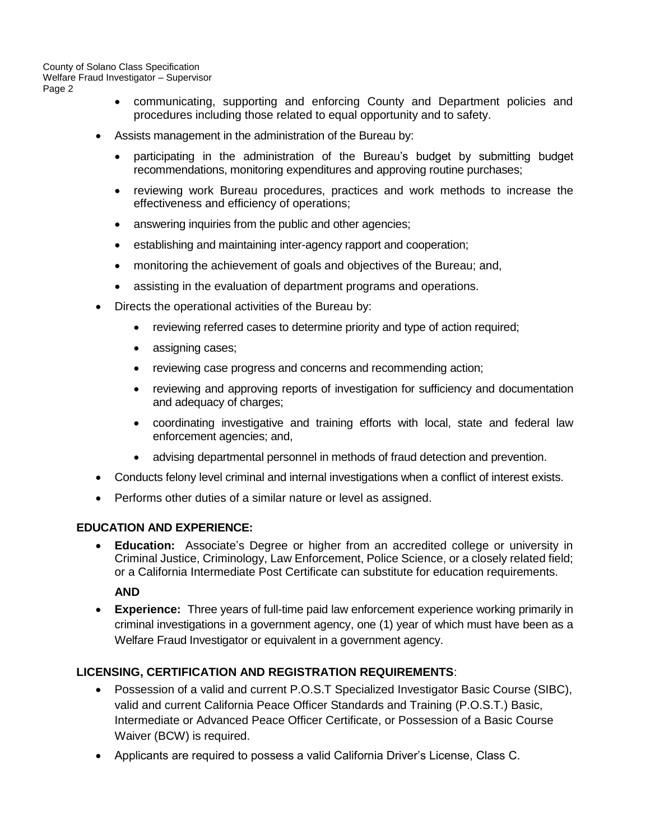- communicating, supporting and enforcing County and Department policies and procedures including those related to equal opportunity and to safety.
- Assists management in the administration of the Bureau by:
	- participating in the administration of the Bureau's budget by submitting budget recommendations, monitoring expenditures and approving routine purchases;
	- reviewing work Bureau procedures, practices and work methods to increase the effectiveness and efficiency of operations;
	- answering inquiries from the public and other agencies;
	- establishing and maintaining inter-agency rapport and cooperation;
	- monitoring the achievement of goals and objectives of the Bureau; and,
	- assisting in the evaluation of department programs and operations.
- Directs the operational activities of the Bureau by:
	- reviewing referred cases to determine priority and type of action required;
	- assigning cases;
	- reviewing case progress and concerns and recommending action;
	- reviewing and approving reports of investigation for sufficiency and documentation and adequacy of charges;
	- coordinating investigative and training efforts with local, state and federal law enforcement agencies; and,
	- advising departmental personnel in methods of fraud detection and prevention.
- Conducts felony level criminal and internal investigations when a conflict of interest exists.
- Performs other duties of a similar nature or level as assigned.

#### **EDUCATION AND EXPERIENCE:**

• **Education:** Associate's Degree or higher from an accredited college or university in Criminal Justice, Criminology, Law Enforcement, Police Science, or a closely related field; or a California Intermediate Post Certificate can substitute for education requirements.

**AND**

• **Experience:** Three years of full-time paid law enforcement experience working primarily in criminal investigations in a government agency, one (1) year of which must have been as a Welfare Fraud Investigator or equivalent in a government agency.

# **LICENSING, CERTIFICATION AND REGISTRATION REQUIREMENTS**:

- Possession of a valid and current P.O.S.T Specialized Investigator Basic Course (SIBC), valid and current California Peace Officer Standards and Training (P.O.S.T.) Basic, Intermediate or Advanced Peace Officer Certificate, or Possession of a Basic Course Waiver (BCW) is required.
- Applicants are required to possess a valid California Driver's License, Class C.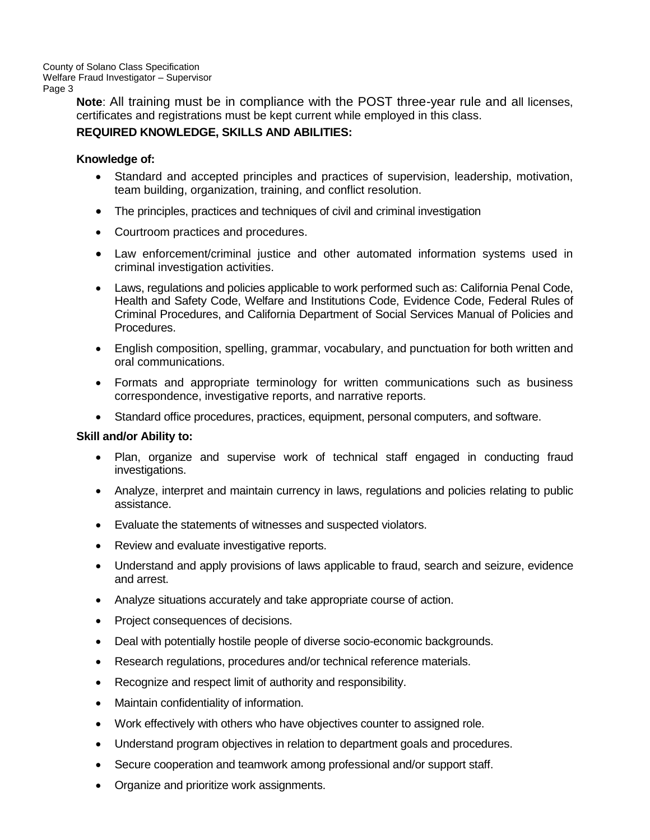> **Note**: All training must be in compliance with the POST three-year rule and all licenses, certificates and registrations must be kept current while employed in this class.

# **REQUIRED KNOWLEDGE, SKILLS AND ABILITIES:**

#### **Knowledge of:**

- Standard and accepted principles and practices of supervision, leadership, motivation, team building, organization, training, and conflict resolution.
- The principles, practices and techniques of civil and criminal investigation
- Courtroom practices and procedures.
- Law enforcement/criminal justice and other automated information systems used in criminal investigation activities.
- Laws, regulations and policies applicable to work performed such as: California Penal Code, Health and Safety Code, Welfare and Institutions Code, Evidence Code, Federal Rules of Criminal Procedures, and California Department of Social Services Manual of Policies and Procedures.
- English composition, spelling, grammar, vocabulary, and punctuation for both written and oral communications.
- Formats and appropriate terminology for written communications such as business correspondence, investigative reports, and narrative reports.
- Standard office procedures, practices, equipment, personal computers, and software.

#### **Skill and/or Ability to:**

- Plan, organize and supervise work of technical staff engaged in conducting fraud investigations.
- Analyze, interpret and maintain currency in laws, regulations and policies relating to public assistance.
- Evaluate the statements of witnesses and suspected violators.
- Review and evaluate investigative reports.
- Understand and apply provisions of laws applicable to fraud, search and seizure, evidence and arrest.
- Analyze situations accurately and take appropriate course of action.
- Project consequences of decisions.
- Deal with potentially hostile people of diverse socio-economic backgrounds.
- Research regulations, procedures and/or technical reference materials.
- Recognize and respect limit of authority and responsibility.
- Maintain confidentiality of information.
- Work effectively with others who have objectives counter to assigned role.
- Understand program objectives in relation to department goals and procedures.
- Secure cooperation and teamwork among professional and/or support staff.
- Organize and prioritize work assignments.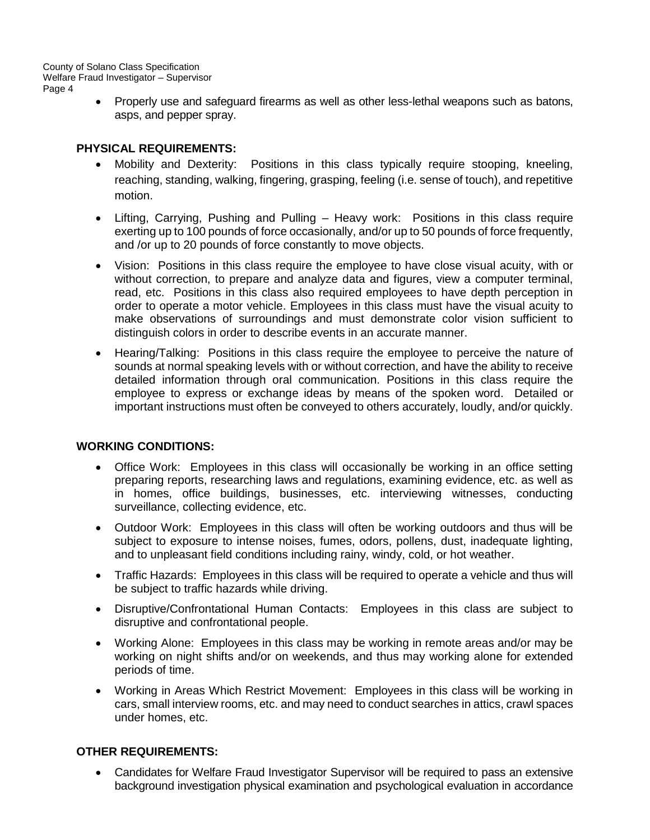> • Properly use and safeguard firearms as well as other less-lethal weapons such as batons, asps, and pepper spray.

### **PHYSICAL REQUIREMENTS:**

- Mobility and Dexterity: Positions in this class typically require stooping, kneeling, reaching, standing, walking, fingering, grasping, feeling (i.e. sense of touch), and repetitive motion.
- Lifting, Carrying, Pushing and Pulling Heavy work: Positions in this class require exerting up to 100 pounds of force occasionally, and/or up to 50 pounds of force frequently, and /or up to 20 pounds of force constantly to move objects.
- Vision: Positions in this class require the employee to have close visual acuity, with or without correction, to prepare and analyze data and figures, view a computer terminal, read, etc. Positions in this class also required employees to have depth perception in order to operate a motor vehicle. Employees in this class must have the visual acuity to make observations of surroundings and must demonstrate color vision sufficient to distinguish colors in order to describe events in an accurate manner.
- Hearing/Talking: Positions in this class require the employee to perceive the nature of sounds at normal speaking levels with or without correction, and have the ability to receive detailed information through oral communication. Positions in this class require the employee to express or exchange ideas by means of the spoken word. Detailed or important instructions must often be conveyed to others accurately, loudly, and/or quickly.

# **WORKING CONDITIONS:**

- Office Work: Employees in this class will occasionally be working in an office setting preparing reports, researching laws and regulations, examining evidence, etc. as well as in homes, office buildings, businesses, etc. interviewing witnesses, conducting surveillance, collecting evidence, etc.
- Outdoor Work: Employees in this class will often be working outdoors and thus will be subject to exposure to intense noises, fumes, odors, pollens, dust, inadequate lighting, and to unpleasant field conditions including rainy, windy, cold, or hot weather.
- Traffic Hazards: Employees in this class will be required to operate a vehicle and thus will be subject to traffic hazards while driving.
- Disruptive/Confrontational Human Contacts: Employees in this class are subject to disruptive and confrontational people.
- Working Alone: Employees in this class may be working in remote areas and/or may be working on night shifts and/or on weekends, and thus may working alone for extended periods of time.
- Working in Areas Which Restrict Movement: Employees in this class will be working in cars, small interview rooms, etc. and may need to conduct searches in attics, crawl spaces under homes, etc.

# **OTHER REQUIREMENTS:**

• Candidates for Welfare Fraud Investigator Supervisor will be required to pass an extensive background investigation physical examination and psychological evaluation in accordance